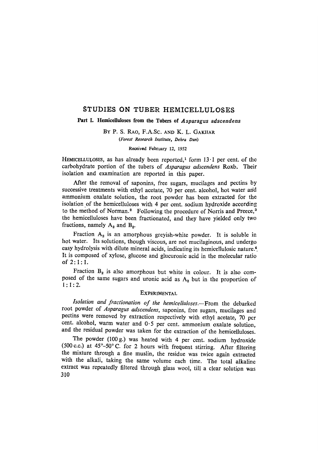## STUDIES ON TUBER HEMICELLULOSES

# **Part I. Hemiceihloses from the Tubers of** *Asparagus adscendens*

BY P. S. RAo, F.A.Sc. AND K. L. GAKHAR *(Forest Research Institute, Dehra Dun)* 

### Received February 12, 1952

HEMICELLULOSES, as has already been reported,<sup>1</sup> form  $13 \cdot 1$  per cent. of the carbohydrate portion of the tubers of *Asparagus adscendens* Roxb: Their isolation and examination are reported in this paper.

After the removal of saponins, free sugars, mucilages and pectins by successive treatments with ethyl acetate, 70 per cent. alcohol, hot water and ammonium oxalate solution, the root powder has been extracted for the isolation of the hemicelluloses with 4 per cent. sodium hydroxide according to the method of Norman.<sup>2</sup> Following the procedure of Norris and Preece,<sup>3</sup> the hemicelluloses have been fractionated, and they have yielded only two fractions, namely  $A_2$  and  $B_2$ .

Fraction  $A_2$  is an amorphous greyish-white powder. It is soluble in hot water. Its solutions, though viscous, are not mucilaginous, and undergo easy hydrolysis with dilute mineral acids, indicating its hemicellulosic nature.<sup>4</sup>. It is composed of xylose, glucose and glucuronic acid in the molecular ratio of 2:l:l.

Fraction  $B_2$  is also amorphous but white in colour. It is also composed of the same sugars and uronic acid as  $A_2$  but in the proportion of 1:I:2.

#### **EXPERIMENTAL**

*Isolation and fractionation of the hemicelluloses.--From* the debarked root powder of *Asparagus adscendens,* saponins, free sugars, mucilages and pectins were removed by extraction respectively with ethyl acetate, 70 per cent. alcohol, warm water and 0-5 per cent. ammonium oxalate solution, and the residual powder was taken for the extraction of the hemicelluloses.

The powder (100g.) was heated with 4 per cent. sodium hydroxide (500 c.c.) at  $45^{\circ}$ -50° C. for 2 hours with frequent stirring. After filtering the mixture through a fine muslin, the residue was twice again extracted with the alkali, taking the same volume each time. The total alkaline extract was repeatedly filtered through glass wool, till a clear solution was 310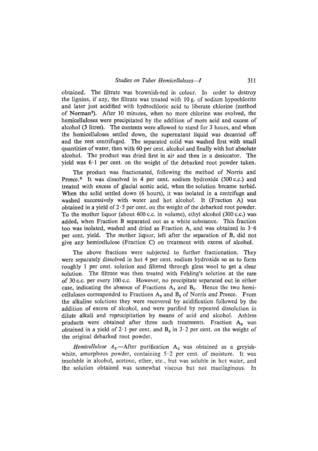obtained. The filtrate was brownish-red in colour. In order to destroy the lignins, if any, the filtrate was treated with 10 g. of sodium hypochlorite and later just acidified with hydrochloric acid to liberate chlorine (method of Norman'). After 10 minutes, when no more chlorine was evolved, the hemicelluloses were precipitated by the addition of more acid and excess of alcohol (3 litres). The contents were allowed to stand for 3 hours, and when the hemicelluloses settled down, the supernatant liquid was decanted off and the rest centrifuged. The separated solid was washed first with small quantities of water, then with 60 per cent. alcohol and finally with hot absolute alcohol. The product was dried first in air and then in a desiccator. The yield was 6-1 per cent. on the weight of the debarked root powder taken.

The product was fractionated, following the method of Norris and Preece.<sup>3</sup> It was dissolved in 4 per cent. sodium hydroxide (500 c.c.) and treated with excess of glacial acetic acid, when the solution became turbid. When the solid settled down (6 hours), it was isolated in a centrifuge and washed successively with water and hot alcohol. It (Fraction A) was obtained in a yield of  $2.5$  per cent. on the weight of the debarked root powder. To the mother liquor (about 600 c.c. in volume), ethyl alcohol (300 c.c.) was added, when Fraction B separated out as a white substance. This fraction too was isolated, washed and dried as Fraction A, and was obtained in 3-6 per cent. yield. The mother liquor, left after the separation of B, did not give any hemicellulose (Fraction C) on treatment with excess of alcohol.

The above fractions were subjected to further fractionation. They were separately dissolved in hot 4 per cent. sodium hydroxide so as to form roughly 1 per cent. solution and filtered through glass wool to get a clear solution. The filtrate was then treated with Fehling's solution at the rate of 30 c.c. per every 100 c.c. However, no precipitate separated out in either case, indicating the absence of Fractions  $A_1$  and  $B_1$ . Hence the two hemicelluloses corresponded to Fractions  $A_2$  and  $B_2$  of Norris and Preece. From the alkaline solutions they were recovered by acidification followed by the addition of excess of alcohol, and were purified by repeated dissolution in dilute alkali and reprecipitation by means of acid and alcohol. Ashless products were obtained after three such treatments. Fraction  $A_2$  was obtained in a yield of 2.1 per cent. and  $B_2$  in 3.2 per cent. on the weight of the original debarked root powder.

*Hemicellulose*  $A_2$ —After purification  $A_2$  was obtained as a greyishwhite, amorphous powder, containing  $5.2$  per cent. of moisture. It was insoluble in alcohol, acetone, ether, etc., but was soluble in hot water, and the solution obtained was somewhat viscous but not mucilaginous. In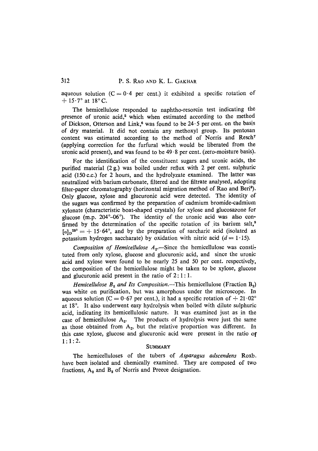aqueous solution  $(C = 0.4$  per cent.) it exhibited a specific rotation of  $+ 15.7$ ° at 18°C.

The hemicellulose responded to naphtho-resorcin test indicating the presence of uronic acid,<sup>5</sup> which when estimated according to the method of Dickson, Otterson and Link,<sup>6</sup> was found to be  $24 \cdot 5$  per cent. on the basis of dry material. It did not contain any methoxyl group. Its pentosan content was estimated according to the method of Norris and Resch<sup>7</sup> (applying correction for the furfural which would be liberated from the uronic acid present), and was found to be  $49.8$  per cent. (zero-moisture basis).

For the identification of the constituent sugars and uronic acids, the purified material (2 g.) was boiled under reflux with 2 per cent. sulphuric acid (150 c.c.) for 2 hours, and the hydrolyzate examined. The latter was neutralized with barium carbonate, filtered and the filtrate analysed, adopting filter-paper chromatography (horizontal migration method of Rao and Beri<sup>8</sup>). Only glucose, xylose and glucuronic acid were detected. The identity of the sugars was confirmed by the preparation of cadmium bromide-cadmium xylonate (characteristic boat-shaped crystals) for xylose and glucosazone for glucose  $(m.p. 204^{\circ}-06^{\circ})$ . The identity of the uronic acid was also confirmed by the determination of the specific rotation of its barium salt,<sup>9</sup>  $[a]_D^{250} = + 15.64^\circ$ , and by the preparation of saccharic acid (isolated as potassium hydrogen saccharate) by oxidation with nitric acid  $(d = 1.15)$ .

*Composition of Hemicellulose*  $A_2$ *.*—Since the hemicellulose was constituted from only xylose, glucose and glucuronic acid, and since the uronic acid and xylose were found to be nearly 25 and 50 per cent. respectively, the composition of the hemicellulose might be taken to be xylose, glucose and glucuronic acid present in the ratio of 2:1 **: 1.** 

*Hemicellulose*  $B_2$  *and Its Composition.*—This hemicellulose (Fraction  $B_2$ ) was white on purification, but was amorphous under the microscope. In aqueous solution (C = 0.67 per cent.), it had a specific rotation of  $+ 21.02^{\circ}$ at 18°. It also underwent easy hydrolysis when boiled with dilute sulphuric acid, indicating its hemicellulosic nature. It was examined just as in the case of hemicellulose  $A_2$ . The products of hydrolysis were just the same as those obtained from  $A_2$ , but the relative proportion was different. In this case xylose, glucose and glucuronic acid were present in the ratio of 1:1:2.

#### **SUMMARY**

The hemicelluloses of the tubers of *Asparagus adscendens* Roxb. have been isolated and chemically examined. They are composed of two fractions,  $A_2$  and  $B_2$  of Norris and Preece designation.